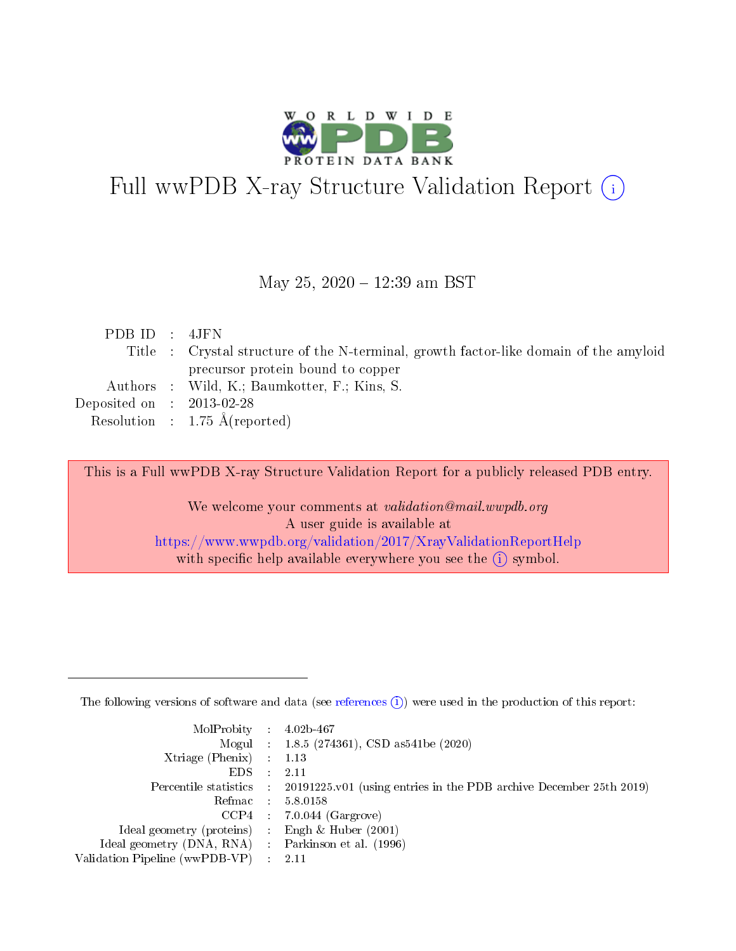

# Full wwPDB X-ray Structure Validation Report (i)

#### May 25, 2020 - 12:39 am BST

| PDB ID : 4JFN                        |                                                                                       |
|--------------------------------------|---------------------------------------------------------------------------------------|
|                                      | Title : Crystal structure of the N-terminal, growth factor-like domain of the amyloid |
|                                      | precursor protein bound to copper                                                     |
|                                      | Authors : Wild, K.; Baumkotter, F.; Kins, S.                                          |
| Deposited on $\therefore$ 2013-02-28 |                                                                                       |
|                                      | Resolution : $1.75 \text{ Å}$ (reported)                                              |

This is a Full wwPDB X-ray Structure Validation Report for a publicly released PDB entry.

We welcome your comments at validation@mail.wwpdb.org A user guide is available at <https://www.wwpdb.org/validation/2017/XrayValidationReportHelp> with specific help available everywhere you see the  $(i)$  symbol.

The following versions of software and data (see [references](https://www.wwpdb.org/validation/2017/XrayValidationReportHelp#references)  $(1)$ ) were used in the production of this report:

| $MolProbability$ : 4.02b-467                      |                              |                                                                                            |
|---------------------------------------------------|------------------------------|--------------------------------------------------------------------------------------------|
|                                                   |                              | Mogul : $1.8.5$ (274361), CSD as 541be (2020)                                              |
| Xtriage (Phenix) $: 1.13$                         |                              |                                                                                            |
| EDS –                                             | $\sim$                       | -2.11                                                                                      |
|                                                   |                              | Percentile statistics : 20191225.v01 (using entries in the PDB archive December 25th 2019) |
| Refmac : 5.8.0158                                 |                              |                                                                                            |
| CCP4                                              |                              | $7.0.044$ (Gargrove)                                                                       |
| Ideal geometry (proteins)                         | $\mathcal{L}_{\mathrm{eff}}$ | Engh & Huber $(2001)$                                                                      |
| Ideal geometry (DNA, RNA) Parkinson et al. (1996) |                              |                                                                                            |
| Validation Pipeline (wwPDB-VP) : 2.11             |                              |                                                                                            |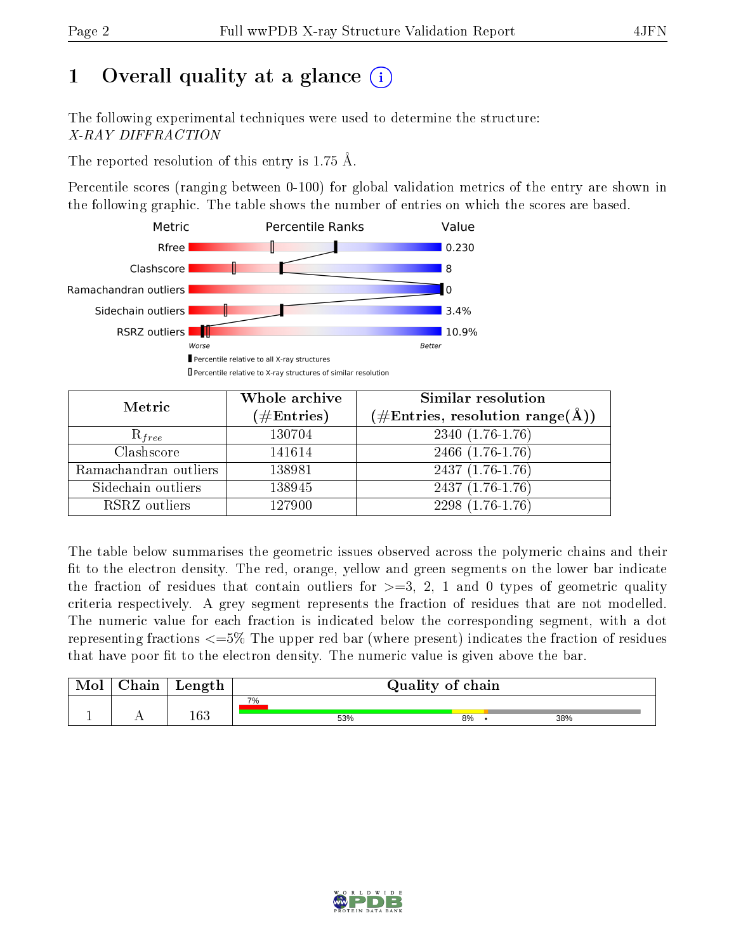## 1 [O](https://www.wwpdb.org/validation/2017/XrayValidationReportHelp#overall_quality)verall quality at a glance  $(i)$

The following experimental techniques were used to determine the structure: X-RAY DIFFRACTION

The reported resolution of this entry is 1.75 Å.

Percentile scores (ranging between 0-100) for global validation metrics of the entry are shown in the following graphic. The table shows the number of entries on which the scores are based.



| Metric                | Whole archive<br>$(\#\text{Entries})$ | Similar resolution<br>$(\#\text{Entries},\,\text{resolution}\,\,\text{range}(\textup{\AA}))$ |  |  |
|-----------------------|---------------------------------------|----------------------------------------------------------------------------------------------|--|--|
| $R_{free}$            | 130704                                | $2340(1.76-1.76)$                                                                            |  |  |
| Clashscore            | 141614                                | 2466 (1.76-1.76)                                                                             |  |  |
| Ramachandran outliers | 138981                                | $2437(1.76-1.76)$                                                                            |  |  |
| Sidechain outliers    | 138945                                | $2437(1.76-1.76)$                                                                            |  |  |
| RSRZ outliers         | 127900                                | $2298(1.76-1.76)$                                                                            |  |  |

The table below summarises the geometric issues observed across the polymeric chains and their fit to the electron density. The red, orange, yellow and green segments on the lower bar indicate the fraction of residues that contain outliers for  $>=3, 2, 1$  and 0 types of geometric quality criteria respectively. A grey segment represents the fraction of residues that are not modelled. The numeric value for each fraction is indicated below the corresponding segment, with a dot representing fractions  $\epsilon=5\%$  The upper red bar (where present) indicates the fraction of residues that have poor fit to the electron density. The numeric value is given above the bar.

| Mol | $\mathop{\mathrm{Chain}}$ | Length | Quality of chain |     |    |  |     |
|-----|---------------------------|--------|------------------|-----|----|--|-----|
|     |                           |        | 7%               |     |    |  |     |
|     |                           | 163    |                  | 53% | 8% |  | 38% |

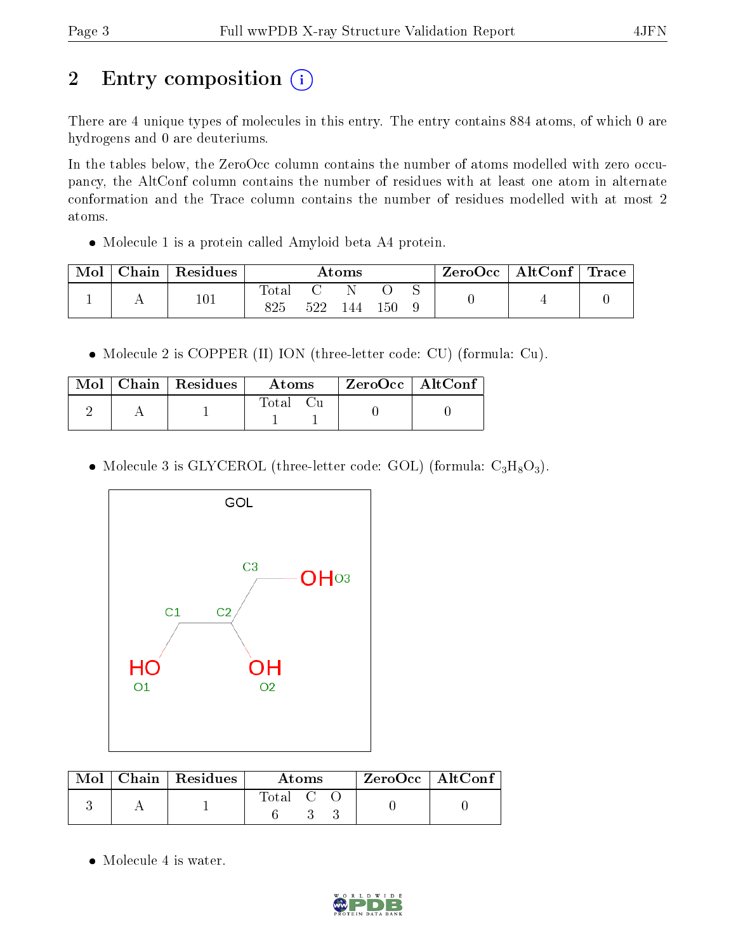## 2 Entry composition (i)

There are 4 unique types of molecules in this entry. The entry contains 884 atoms, of which 0 are hydrogens and 0 are deuteriums.

In the tables below, the ZeroOcc column contains the number of atoms modelled with zero occupancy, the AltConf column contains the number of residues with at least one atom in alternate conformation and the Trace column contains the number of residues modelled with at most 2 atoms.

Molecule 1 is a protein called Amyloid beta A4 protein.

| Mol | Chain   Residues | $\rm{Atoms}$ |     |     | $\text{ZeroOcc} \mid \text{AltConf} \mid \text{Trace}$ |  |  |  |
|-----|------------------|--------------|-----|-----|--------------------------------------------------------|--|--|--|
|     | $101\,$          | Total<br>825 | 522 | 144 | 150                                                    |  |  |  |

Molecule 2 is COPPER (II) ION (three-letter code: CU) (formula: Cu).

|  | $Mol$   Chain   Residues | – Atoms  |  | $\mid$ ZeroOcc $\mid$ AltConf |  |
|--|--------------------------|----------|--|-------------------------------|--|
|  |                          | Total Cu |  |                               |  |

• Molecule 3 is GLYCEROL (three-letter code: GOL) (formula:  $C_3H_8O_3$ ).



|  | $\text{Mol}$   Chain   Residues | Atoms     |  |  | $\rm ZeroOcc$   $\rm AltConf$ |  |
|--|---------------------------------|-----------|--|--|-------------------------------|--|
|  |                                 | Total C C |  |  |                               |  |

• Molecule 4 is water.

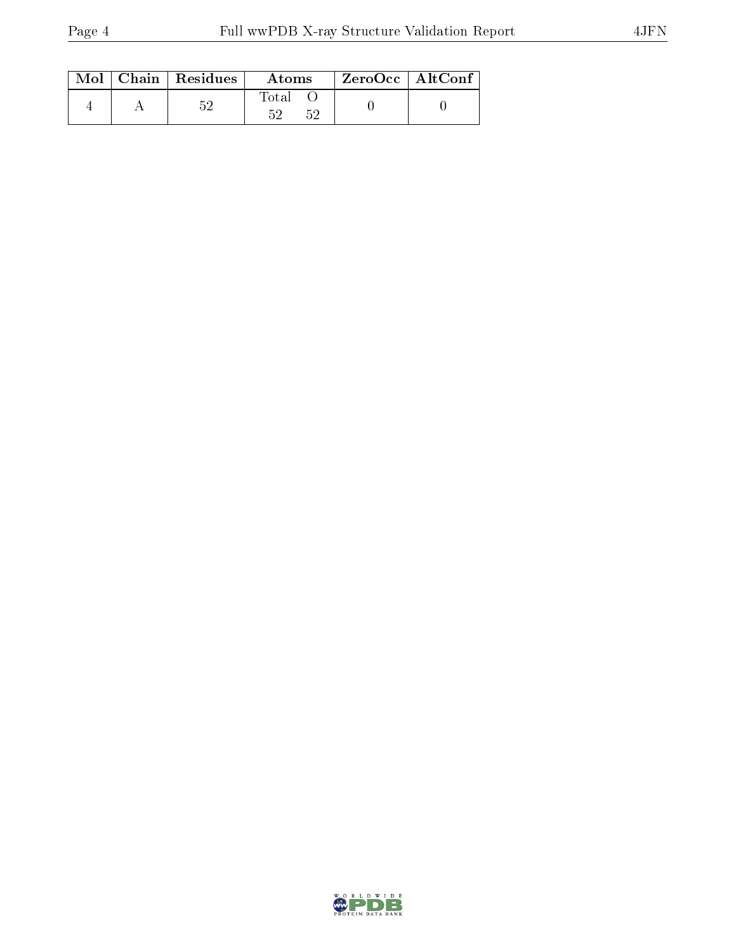|  | $Mol$   Chain   Residues | Atoms       | $ZeroOcc \mid AltConf \mid$ |
|--|--------------------------|-------------|-----------------------------|
|  | 耳の                       | Total<br>KΩ |                             |

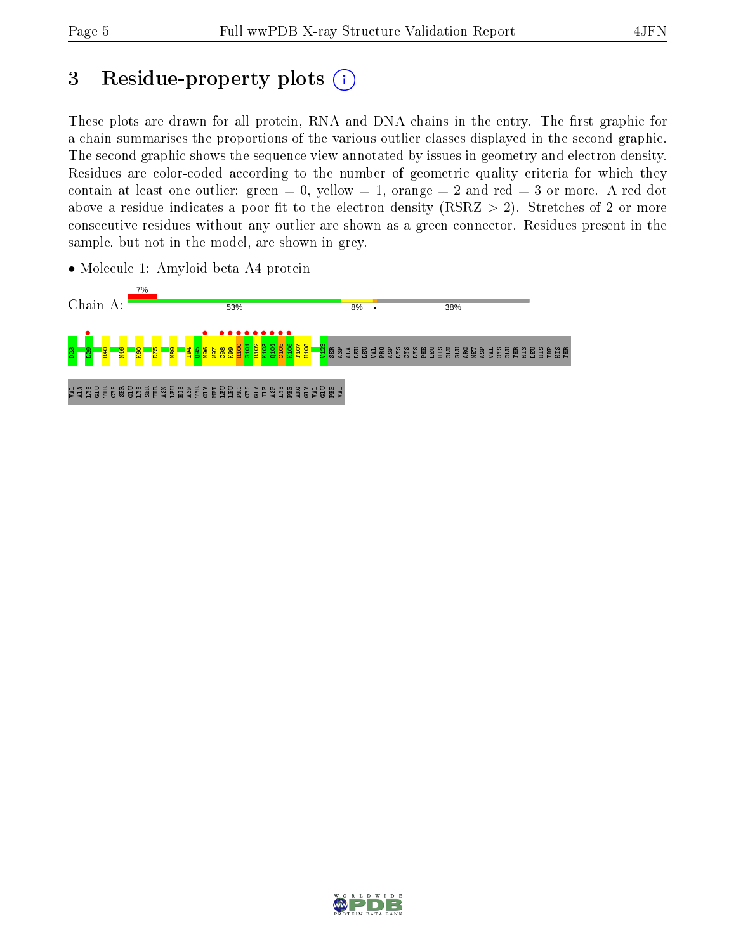## 3 Residue-property plots  $(i)$

These plots are drawn for all protein, RNA and DNA chains in the entry. The first graphic for a chain summarises the proportions of the various outlier classes displayed in the second graphic. The second graphic shows the sequence view annotated by issues in geometry and electron density. Residues are color-coded according to the number of geometric quality criteria for which they contain at least one outlier: green  $= 0$ , yellow  $= 1$ , orange  $= 2$  and red  $= 3$  or more. A red dot above a residue indicates a poor fit to the electron density (RSRZ  $> 2$ ). Stretches of 2 or more consecutive residues without any outlier are shown as a green connector. Residues present in the sample, but not in the model, are shown in grey.



• Molecule 1: Amyloid beta A4 protein

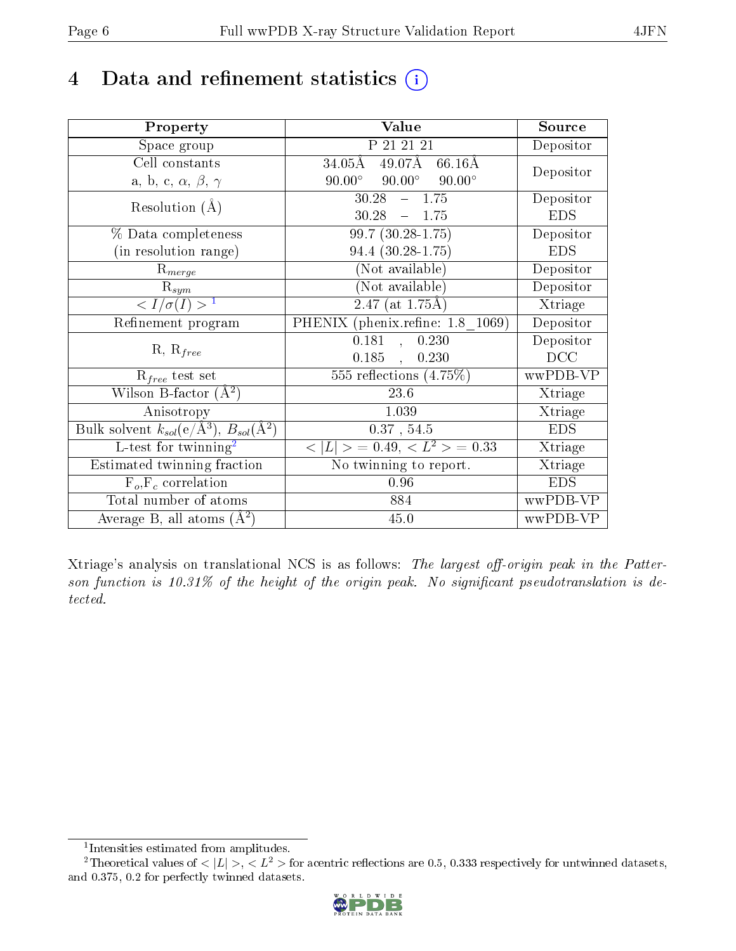## 4 Data and refinement statistics  $(i)$

| Property                                                             | Value                                            | Source     |
|----------------------------------------------------------------------|--------------------------------------------------|------------|
| Space group                                                          | P 21 21 21                                       | Depositor  |
| Cell constants                                                       | 49.07Å<br>$34.05\rm \AA$<br>$66.16\text{\AA}$    | Depositor  |
| a, b, c, $\alpha$ , $\beta$ , $\gamma$                               | $90.00^\circ$<br>$90.00^{\circ}$ $90.00^{\circ}$ |            |
| Resolution $(A)$                                                     | $30.28 - 1.75$                                   | Depositor  |
|                                                                      | $30.28 - 1.75$                                   | <b>EDS</b> |
| % Data completeness                                                  | $99.7(30.28-1.75)$                               | Depositor  |
| (in resolution range)                                                | 94.4 (30.28-1.75)                                | <b>EDS</b> |
| $R_{merge}$                                                          | (Not available)                                  | Depositor  |
| $\mathrm{R}_{sym}$                                                   | $(Not \ \overline{\text{available}})$            | Depositor  |
| $\langle I/\sigma(I) \rangle$ <sup>1</sup>                           | $2.47$ (at 1.75Å)                                | Xtriage    |
| Refinement program                                                   | PHENIX (phenix.refine: 1.8 1069)                 | Depositor  |
| $R, R_{free}$                                                        | $\overline{0.181}$ ,<br>0.230                    | Depositor  |
|                                                                      | 0.185,<br>0.230                                  | DCC        |
| $R_{free}$ test set                                                  | $\overline{555}$ reflections $(4.75\%)$          | wwPDB-VP   |
| Wilson B-factor $(A^2)$                                              | 23.6                                             | Xtriage    |
| Anisotropy                                                           | 1.039                                            | Xtriage    |
| Bulk solvent $k_{sol}(e/\mathring{A}^3)$ , $B_{sol}(\mathring{A}^2)$ | $0.37$ , $54.5$                                  | <b>EDS</b> |
| L-test for twinning <sup>2</sup>                                     | $< L >$ = 0.49, $< L2$ = 0.33                    | Xtriage    |
| Estimated twinning fraction                                          | No twinning to report.                           | Xtriage    |
| $F_o, F_c$ correlation                                               | 0.96                                             | <b>EDS</b> |
| Total number of atoms                                                | 884                                              | wwPDB-VP   |
| Average B, all atoms $(A^2)$                                         | 45.0                                             | wwPDB-VP   |

Xtriage's analysis on translational NCS is as follows: The largest off-origin peak in the Patterson function is  $10.31\%$  of the height of the origin peak. No significant pseudotranslation is detected.

<sup>&</sup>lt;sup>2</sup>Theoretical values of  $\langle |L| \rangle$ ,  $\langle L^2 \rangle$  for acentric reflections are 0.5, 0.333 respectively for untwinned datasets, and 0.375, 0.2 for perfectly twinned datasets.



<span id="page-5-1"></span><span id="page-5-0"></span><sup>1</sup> Intensities estimated from amplitudes.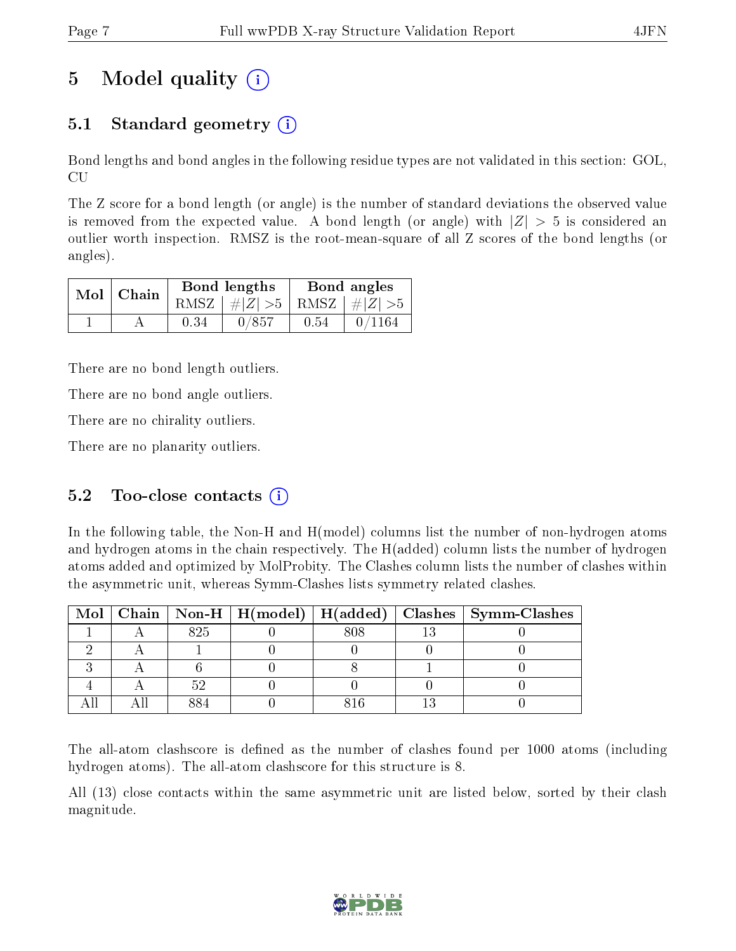## 5 Model quality  $(i)$

### 5.1 Standard geometry  $(i)$

Bond lengths and bond angles in the following residue types are not validated in this section: GOL, CU

The Z score for a bond length (or angle) is the number of standard deviations the observed value is removed from the expected value. A bond length (or angle) with  $|Z| > 5$  is considered an outlier worth inspection. RMSZ is the root-mean-square of all Z scores of the bond lengths (or angles).

|  | $Mol$   Chain |      | Bond lengths                    | Bond angles |        |  |
|--|---------------|------|---------------------------------|-------------|--------|--|
|  |               |      | RMSZ $ #Z  > 5$ RMSZ $ #Z  > 5$ |             |        |  |
|  |               | 0.34 | 0/857                           | 0.54        | 0/1164 |  |

There are no bond length outliers.

There are no bond angle outliers.

There are no chirality outliers.

There are no planarity outliers.

#### 5.2 Too-close contacts  $(i)$

In the following table, the Non-H and H(model) columns list the number of non-hydrogen atoms and hydrogen atoms in the chain respectively. The H(added) column lists the number of hydrogen atoms added and optimized by MolProbity. The Clashes column lists the number of clashes within the asymmetric unit, whereas Symm-Clashes lists symmetry related clashes.

|  |     |     | Mol   Chain   Non-H   H(model)   H(added)   Clashes   Symm-Clashes |
|--|-----|-----|--------------------------------------------------------------------|
|  | 825 | 808 |                                                                    |
|  |     |     |                                                                    |
|  |     |     |                                                                    |
|  |     |     |                                                                    |
|  |     |     |                                                                    |

The all-atom clashscore is defined as the number of clashes found per 1000 atoms (including hydrogen atoms). The all-atom clashscore for this structure is 8.

All (13) close contacts within the same asymmetric unit are listed below, sorted by their clash magnitude.

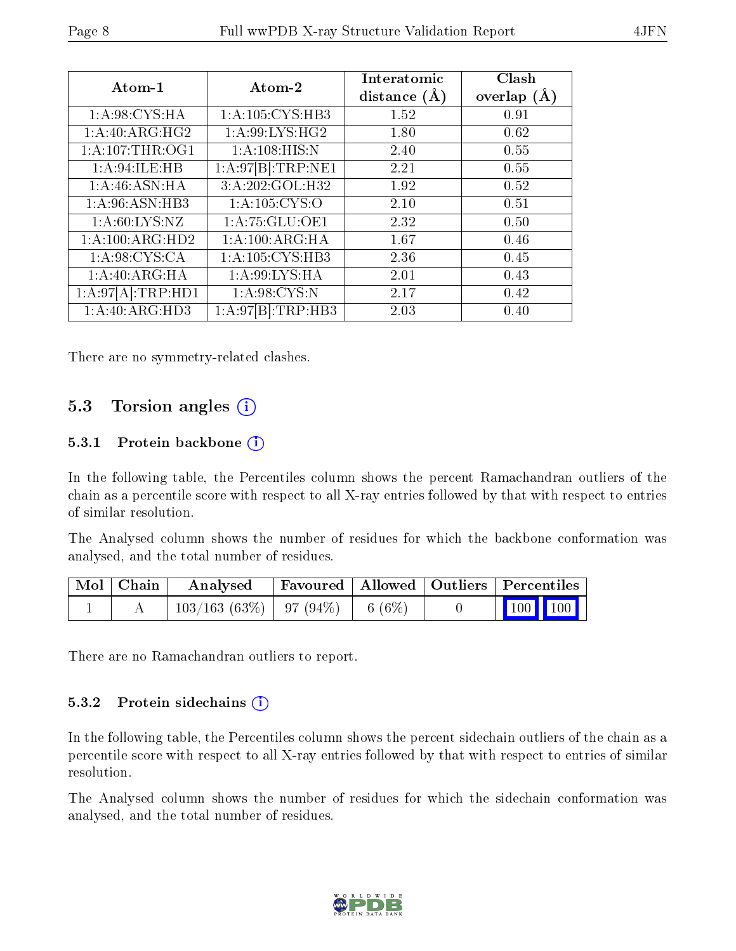| Atom-1            | Atom-2                     | Interatomic<br>distance $(A)$ | Clash<br>overlap $(A)$ |
|-------------------|----------------------------|-------------------------------|------------------------|
| 1: A:98: CYS: HA  | 1: A:105: CYS:HB3          | 1.52                          | 0.91                   |
| 1:A:40:ARG:HG2    | 1: A:99: LYS: HG2          | 1.80                          | 0.62                   |
| 1:A:107:THR:OG1   | 1: A: 108: HIS: N          | 2.40                          | 0.55                   |
| 1: A:94: ILE: HB  | 1: A:97 B :TRP:NE1         | 2.21                          | 0.55                   |
| 1: A:46: ASN: HA  | 3:A:202:GOL:H32            | 1.92                          | 0.52                   |
| 1: A:96: ASN:HB3  | $1:A:\overline{105:CYS:O}$ | 2.10                          | 0.51                   |
| 1: A:60: LYS: NZ  | 1: A: 75: GLU: OE1         | 2.32                          | 0.50                   |
| 1:A:100:ARG:HD2   | 1: A:100:ARG:HA            | 1.67                          | 0.46                   |
| 1: A:98: CYS:CA   | 1:A:105:CYS:HB3            | 2.36                          | 0.45                   |
| 1:A:40:ARG:HA     | 1: A:99: LYS: HA           | 2.01                          | 0.43                   |
| 1:A:97[A]:TRP:HD1 | 1: A:98: CYS:N             | 2.17                          | 0.42                   |
| 1:A:40:ARG:HD3    | 1:A:97 B :TRP:HB3          | 2.03                          | 0.40                   |

There are no symmetry-related clashes.

### 5.3 Torsion angles (i)

#### 5.3.1 Protein backbone (i)

In the following table, the Percentiles column shows the percent Ramachandran outliers of the chain as a percentile score with respect to all X-ray entries followed by that with respect to entries of similar resolution.

The Analysed column shows the number of residues for which the backbone conformation was analysed, and the total number of residues.

| $\mid$ Mol $\mid$ Chain | Analysed                              |  | Favoured   Allowed   Outliers   Percentiles                |  |
|-------------------------|---------------------------------------|--|------------------------------------------------------------|--|
|                         | $103/163(63\%)$   97 (94\%)   6 (6\%) |  | $\begin{array}{ c c c c }\n\hline\n100 & 100\n\end{array}$ |  |

There are no Ramachandran outliers to report.

#### 5.3.2 Protein sidechains  $(i)$

In the following table, the Percentiles column shows the percent sidechain outliers of the chain as a percentile score with respect to all X-ray entries followed by that with respect to entries of similar resolution.

The Analysed column shows the number of residues for which the sidechain conformation was analysed, and the total number of residues.

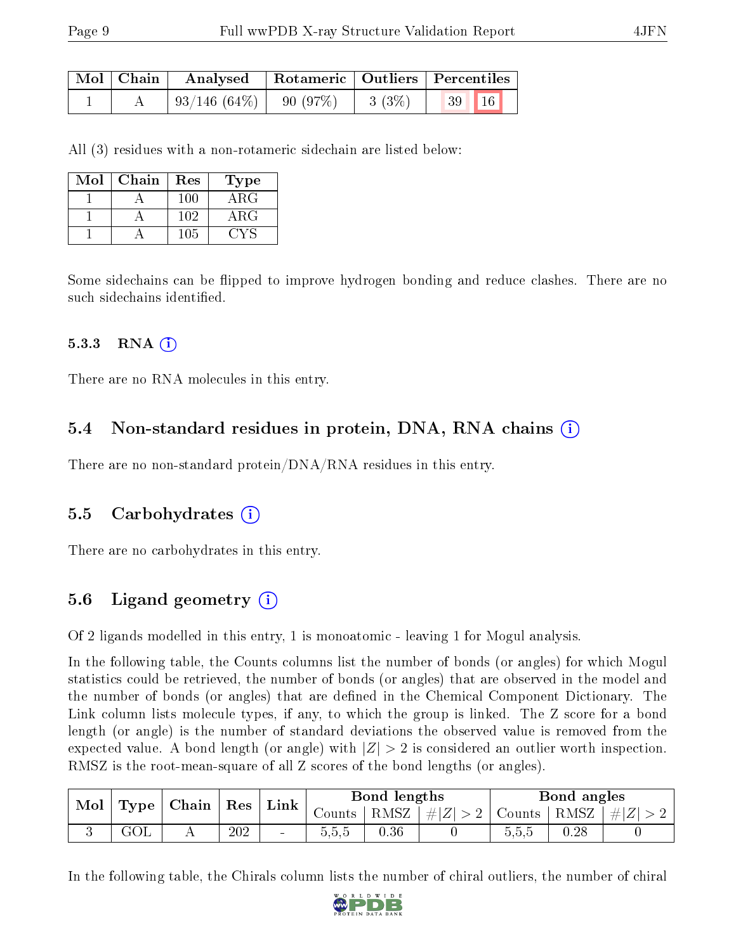| Mol   Chain | Analysed            | Rotameric   Outliers   Percentiles |             |       |  |  |
|-------------|---------------------|------------------------------------|-------------|-------|--|--|
|             | $\pm 93/146~(64\%)$ | 90 (97%)                           | $  3 (3\%)$ | 39 16 |  |  |

All (3) residues with a non-rotameric sidechain are listed below:

| Mol | Chain | Res | Type        |
|-----|-------|-----|-------------|
|     |       | 100 | ARG         |
|     |       | 102 | ${\rm ARG}$ |
|     |       | 105 |             |

Some sidechains can be flipped to improve hydrogen bonding and reduce clashes. There are no such sidechains identified.

#### $5.3.3$  RNA  $(i)$

There are no RNA molecules in this entry.

#### 5.4 Non-standard residues in protein, DNA, RNA chains (i)

There are no non-standard protein/DNA/RNA residues in this entry.

#### 5.5 Carbohydrates (i)

There are no carbohydrates in this entry.

### 5.6 Ligand geometry  $(i)$

Of 2 ligands modelled in this entry, 1 is monoatomic - leaving 1 for Mogul analysis.

In the following table, the Counts columns list the number of bonds (or angles) for which Mogul statistics could be retrieved, the number of bonds (or angles) that are observed in the model and the number of bonds (or angles) that are dened in the Chemical Component Dictionary. The Link column lists molecule types, if any, to which the group is linked. The Z score for a bond length (or angle) is the number of standard deviations the observed value is removed from the expected value. A bond length (or angle) with  $|Z| > 2$  is considered an outlier worth inspection. RMSZ is the root-mean-square of all Z scores of the bond lengths (or angles).

| $\parallel$ Type $\parallel$ Chain $\parallel$ Res $\parallel$ Link $\parallel$<br>Mol |     |     |        |       | Bond lengths |                                                                   |       | Bond angles |  |
|----------------------------------------------------------------------------------------|-----|-----|--------|-------|--------------|-------------------------------------------------------------------|-------|-------------|--|
|                                                                                        |     |     |        |       |              | Counts   RMSZ $\mid \#  Z  > 2$   Counts   RMSZ $\mid \#  Z  > 2$ |       |             |  |
|                                                                                        | GOL | 202 | $\sim$ | 0.5.5 | 0.36         |                                                                   | 5,5,5 | 0.28        |  |

In the following table, the Chirals column lists the number of chiral outliers, the number of chiral

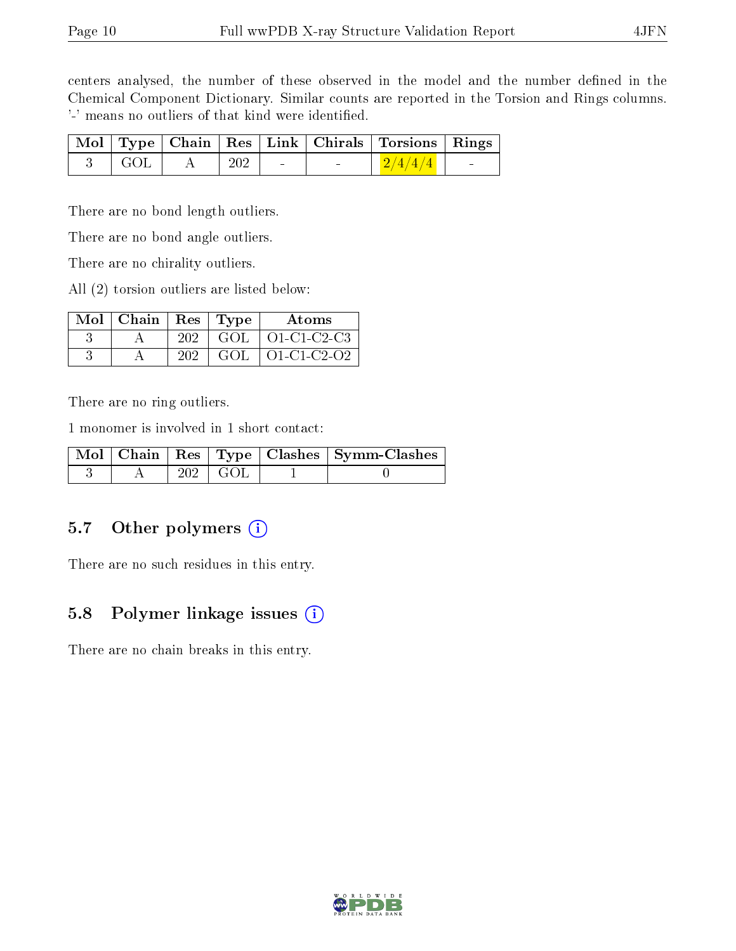centers analysed, the number of these observed in the model and the number defined in the Chemical Component Dictionary. Similar counts are reported in the Torsion and Rings columns. '-' means no outliers of that kind were identified.

|                     |                 |                          | Mol   Type   Chain   Res   Link   Chirals   Torsions   Rings |        |
|---------------------|-----------------|--------------------------|--------------------------------------------------------------|--------|
| $3 \mid \text{GOL}$ | $\frac{1}{202}$ | <b>Contract Contract</b> | $\frac{2}{4/4}$                                              | $\sim$ |

There are no bond length outliers.

There are no bond angle outliers.

There are no chirality outliers.

All (2) torsion outliers are listed below:

| $Mol$   Chain   Res   Type |     |      | Atoms               |
|----------------------------|-----|------|---------------------|
|                            | 202 | GOL. | $\vert$ O1-C1-C2-C3 |
|                            | 202 | GOL. | 01-C1-C2-O2         |

There are no ring outliers.

1 monomer is involved in 1 short contact:

|  |                 | Mol   Chain   Res   Type   Clashes   Symm-Clashes |
|--|-----------------|---------------------------------------------------|
|  | $202 \perp GOL$ |                                                   |

#### 5.7 [O](https://www.wwpdb.org/validation/2017/XrayValidationReportHelp#nonstandard_residues_and_ligands)ther polymers (i)

There are no such residues in this entry.

#### 5.8 Polymer linkage issues  $(i)$

There are no chain breaks in this entry.

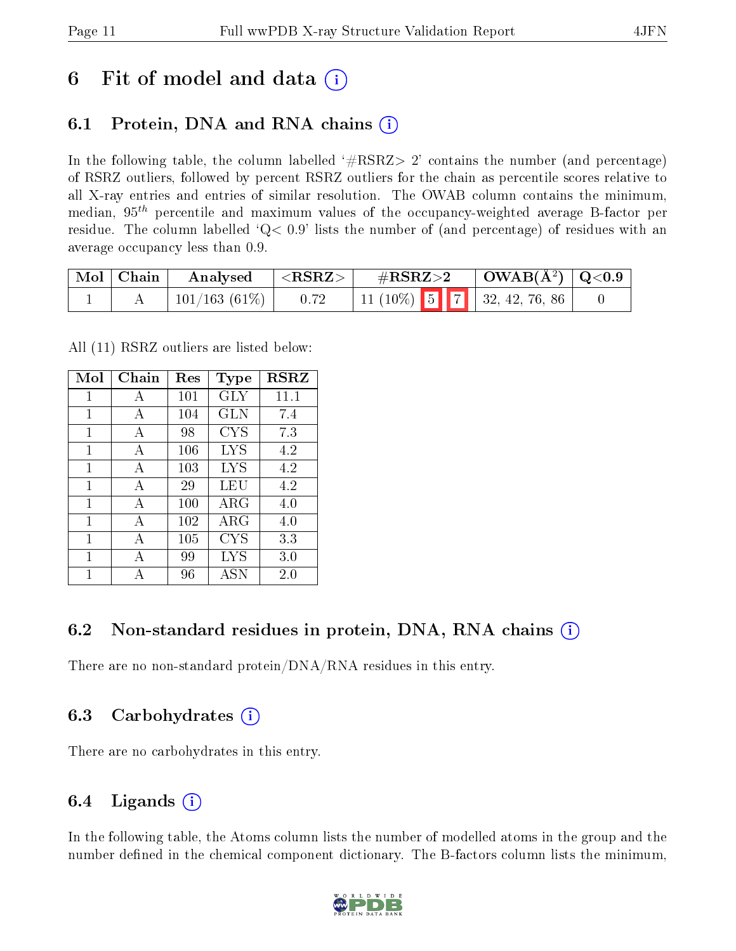### 6 Fit of model and data  $\left( \cdot \right)$

### 6.1 Protein, DNA and RNA chains (i)

In the following table, the column labelled  $#RSRZ> 2'$  contains the number (and percentage) of RSRZ outliers, followed by percent RSRZ outliers for the chain as percentile scores relative to all X-ray entries and entries of similar resolution. The OWAB column contains the minimum, median,  $95<sup>th</sup>$  percentile and maximum values of the occupancy-weighted average B-factor per residue. The column labelled  $Q< 0.9$  lists the number of (and percentage) of residues with an average occupancy less than 0.9.

| $\mid$ Mol $\mid$ Chain $\mid$ | $\blacksquare$ Analysed         | $ \langle \text{RSRZ}\rangle $ | $\#RSRZ>2$ $\Box$ OWAB(Å <sup>2</sup> ) $\Box$ Q<0.9 |  |  |
|--------------------------------|---------------------------------|--------------------------------|------------------------------------------------------|--|--|
|                                | $\pm 101/163$ (61\%) $\pm 0.72$ |                                | $11(10\%)$ 5 7 32, 42, 76, 86                        |  |  |

All (11) RSRZ outliers are listed below:

| Mol | Chain        | Res | <b>Type</b> | <b>RSRZ</b> |
|-----|--------------|-----|-------------|-------------|
| 1   | A            | 101 | GLY         | 11.1        |
| 1   | A            | 104 | GLN         | 7.4         |
| 1   | A            | 98  | <b>CYS</b>  | 7.3         |
| 1   | A            | 106 | LYS         | 4.2         |
| 1   | A            | 103 | LYS         | 4.2         |
| 1   | A            | 29  | LEU         | 4.2         |
| 1   | $\mathbf{A}$ | 100 | $\rm{ARG}$  | 4.0         |
| 1   | A            | 102 | ARG         | 4.0         |
| 1   | A            | 105 | CYS         | 3.3         |
| 1   | A            | 99  | LYS         | 3.0         |
|     |              | 96  | <b>ASN</b>  | 2.0         |

#### 6.2 Non-standard residues in protein, DNA, RNA chains (i)

There are no non-standard protein/DNA/RNA residues in this entry.

#### 6.3 Carbohydrates (i)

There are no carbohydrates in this entry.

#### 6.4 Ligands  $(i)$

In the following table, the Atoms column lists the number of modelled atoms in the group and the number defined in the chemical component dictionary. The B-factors column lists the minimum,